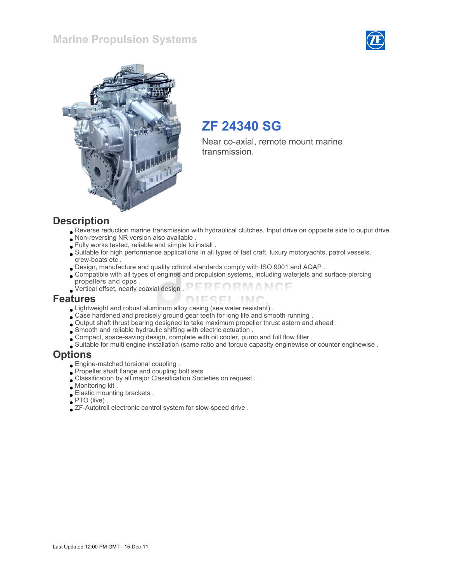### Marine Propulsion Systems





# ZF 24340 SG

Near co-axial, remote mount marine transmission.

#### **Description**

- Reverse reduction marine transmission with hydraulical clutches. Input drive on opposite side to ouput drive.
- Non-reversing NR version also available .
- Fully works tested, reliable and simple to install .
- Suitable for high performance applications in all types of fast craft, luxury motoryachts, patrol vessels, crew-boats etc .
- Design, manufacture and quality control standards comply with ISO 9001 and AQAP .
- Compatible with all types of engines and propulsion systems, including waterjets and surface-piercing propellers and cpps .
- FORMANCE Vertical offset, nearly coaxial design .

#### Features

- Lightweight and robust aluminum alloy casing (sea water resistant) .
- Case hardened and precisely ground gear teeth for long life and smooth running .
- Output shaft thrust bearing designed to take maximum propeller thrust astern and ahead .
- Smooth and reliable hydraulic shifting with electric actuation .
- Compact, space-saving design, complete with oil cooler, pump and full flow filter .
- Suitable for multi engine installation (same ratio and torque capacity enginewise or counter enginewise .

#### **Options**

- Engine-matched torsional coupling .
- Propeller shaft flange and coupling bolt sets .
- Classification by all major Classification Societies on request .
- Monitoring kit .
- Elastic mounting brackets .
- PTO (live) .
- ZF-Autotroll electronic control system for slow-speed drive .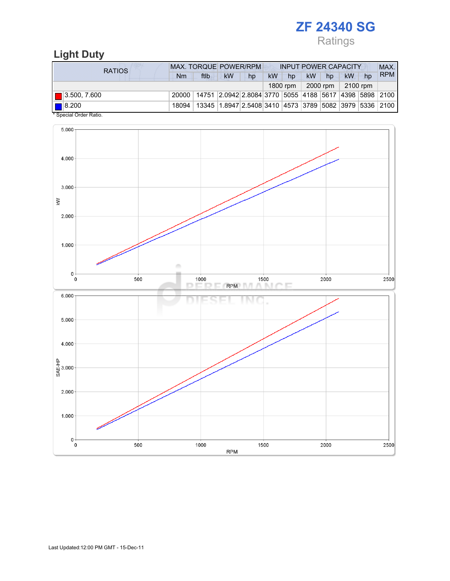# ZF 24340 SG

Ratings

# Light Duty

| RATIOS                                      | <b>MAX. TORQUE POWER/RPM</b>                                                     |                                                                          |           |    | <b>INPUT POWER CAPACITY</b> |          |           |                      |           |    | MAX.       |
|---------------------------------------------|----------------------------------------------------------------------------------|--------------------------------------------------------------------------|-----------|----|-----------------------------|----------|-----------|----------------------|-----------|----|------------|
|                                             | Nm                                                                               | ftlb                                                                     | <b>kW</b> | hp | <b>kW</b>                   | hp       | <b>kW</b> | hp                   | <b>kW</b> | hp | <b>RPM</b> |
|                                             |                                                                                  |                                                                          |           |    |                             | 1800 rpm |           | 2000 rpm $\parallel$ | 2100 rpm  |    |            |
| $\blacksquare$ 3.500, 7.600                 | 20000   14751   2.0942   2.8084   3770   5055   4188   5617   4398   5898   2100 |                                                                          |           |    |                             |          |           |                      |           |    |            |
| $\blacksquare$ 8.200<br>$*$ 0. 0. 0. . 1. . | 18094                                                                            | 13345   1.8947   2.5408   3410   4573   3789   5082   3979   5336   2100 |           |    |                             |          |           |                      |           |    |            |

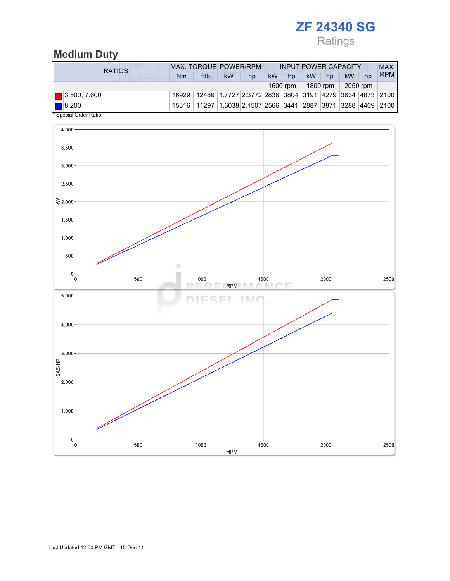# ZF 24340 SG

# Ratings

# Medium Duty

| <b>RATIOS</b>                                     | <b>MAX. TORQUE POWER/RPM</b> |                                                                                  |           |    | <b>INPUT POWER CAPACITY</b> |          |    |            |          |    | MAX.       |
|---------------------------------------------------|------------------------------|----------------------------------------------------------------------------------|-----------|----|-----------------------------|----------|----|------------|----------|----|------------|
|                                                   | Nm                           | ftlb                                                                             | <b>kW</b> | hp | <b>kW</b>                   | hp       | kW | hp         | kW       | hp | <b>RPM</b> |
|                                                   |                              |                                                                                  |           |    |                             | 1600 rpm |    | 1800 rpm 1 | 2050 rpm |    |            |
| $\blacksquare$ 3.500, 7.600                       |                              | 16929   12486   1.7727   2.3772   2836   3804   3191   4279   3634   4873   2100 |           |    |                             |          |    |            |          |    |            |
| $\blacksquare$ 8.200<br>$*$ Consider Order Detter |                              | 15316   11297   1.6038   2.1507   2566   3441   2887   3871   3288   4409   2100 |           |    |                             |          |    |            |          |    |            |

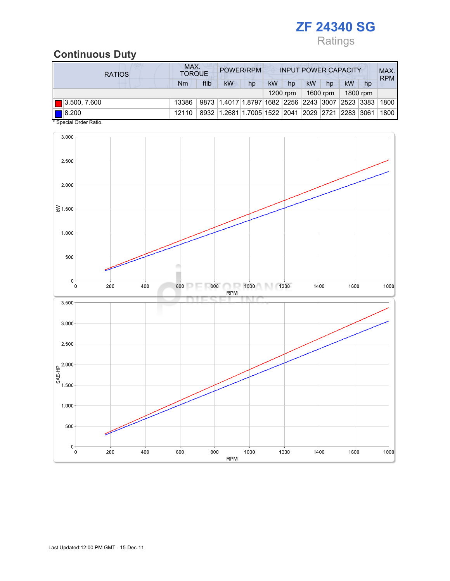

# Continuous Duty

| <b>RATIOS</b>        | MAX.<br><b>TORQUE</b> | POWER/RPM<br><b>INPUT POWER CAPACITY</b> |                                                                  |    |    |            |           | MAX.<br><b>RPM</b> |    |          |      |
|----------------------|-----------------------|------------------------------------------|------------------------------------------------------------------|----|----|------------|-----------|--------------------|----|----------|------|
|                      | Nm                    | ftlb                                     | <b>kW</b>                                                        | hp | kW | hp         | <b>kW</b> | hp                 | kW | hp       |      |
|                      |                       |                                          |                                                                  |    |    | $1200$ rpm |           | 1600 rpm           |    | 1800 rpm |      |
| 3.500, 7.600         | 13386                 |                                          | 9873 1.4017 1.8797 1682 2256 2243 3007 2523 3383                 |    |    |            |           |                    |    |          | 1800 |
| $\blacksquare$ 8.200 | 12110                 |                                          | 8932   1.2681   1.7005   1522   2041   2029   2721   2283   3061 |    |    |            |           |                    |    |          | 1800 |

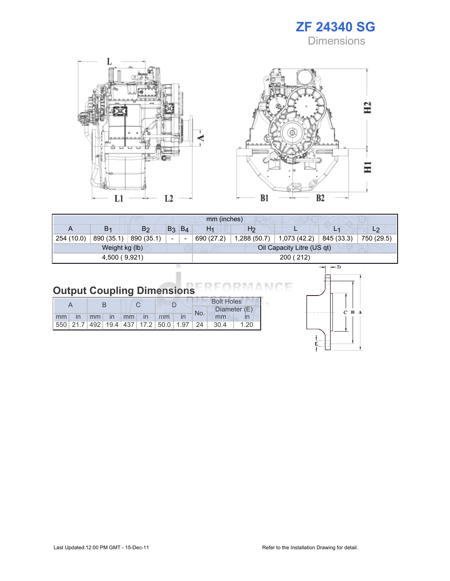





F

| mm (inches)   |                |                |                          |       |                |                |                            |                |                |  |
|---------------|----------------|----------------|--------------------------|-------|----------------|----------------|----------------------------|----------------|----------------|--|
|               | B <sub>1</sub> | B <sub>2</sub> | B <sub>3</sub>           | $B_4$ | H <sub>1</sub> | H <sub>2</sub> |                            | L <sub>1</sub> | L <sub>2</sub> |  |
| 254 (10.0)    | 890 (35.1)     | 890 (35.1)     | $\overline{\phantom{a}}$ |       | 690 (27.2)     | 1,288 (50.7)   | 1,073 (42.2)               | 845 (33.3)     | 750 (29.5)     |  |
|               | Weight kg (lb) |                |                          |       |                |                | Oil Capacity Litre (US qt) |                |                |  |
| 4,500 (9,921) |                |                |                          |       | 200 (212)      |                |                            |                |                |  |
|               |                |                |                          |       |                |                |                            |                |                |  |

| <b>Output Coupling Dimensions REORMAN</b> |  |  |
|-------------------------------------------|--|--|

|    |              |    |              |    |    |                                                         | <b>Bolt Holes</b> |       |              |  |
|----|--------------|----|--------------|----|----|---------------------------------------------------------|-------------------|-------|--------------|--|
|    |              |    |              |    |    |                                                         | No.               |       | Diameter (E) |  |
| mm | $\mathsf{I}$ | mm | $\mathsf{I}$ | mm | In | mm                                                      |                   | mm    |              |  |
|    |              |    |              |    |    | 550   21.7   492   19.4   437   17.2   50.0   1.97   24 |                   | -30.4 | 1.20         |  |